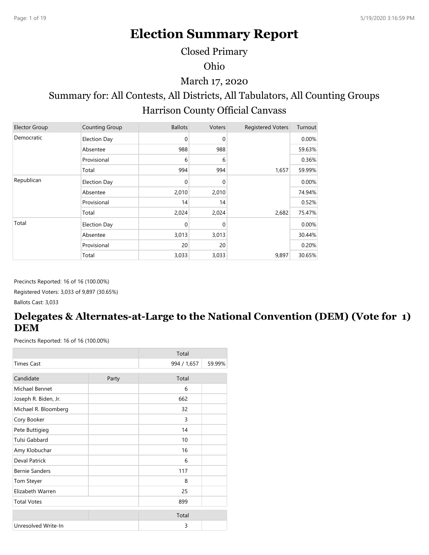# **Election Summary Report**

Closed Primary

Ohio

March 17, 2020

## Summary for: All Contests, All Districts, All Tabulators, All Counting Groups Harrison County Official Canvass

| <b>Elector Group</b> | Counting Group      | <b>Ballots</b> | Voters   | <b>Registered Voters</b> | Turnout |
|----------------------|---------------------|----------------|----------|--------------------------|---------|
| Democratic           | <b>Election Day</b> | 0              | 0        |                          | 0.00%   |
|                      | Absentee            | 988            | 988      |                          | 59.63%  |
|                      | Provisional         | 6              | 6        |                          | 0.36%   |
|                      | Total               | 994            | 994      | 1,657                    | 59.99%  |
| Republican           | <b>Election Day</b> | $\mathbf 0$    | $\Omega$ |                          | 0.00%   |
|                      | Absentee            | 2,010          | 2,010    |                          | 74.94%  |
|                      | Provisional         | 14             | 14       |                          | 0.52%   |
|                      | Total               | 2,024          | 2,024    | 2,682                    | 75.47%  |
| Total                | <b>Election Day</b> | 0              | 0        |                          | 0.00%   |
|                      | Absentee            | 3,013          | 3,013    |                          | 30.44%  |
|                      | Provisional         | 20             | 20       |                          | 0.20%   |
|                      | Total               | 3,033          | 3,033    | 9,897                    | 30.65%  |

Precincts Reported: 16 of 16 (100.00%) Registered Voters: 3,033 of 9,897 (30.65%) Ballots Cast: 3,033

## **Delegates & Alternates-at-Large to the National Convention (DEM) (Vote for 1) DEM**

|                       |       | Total       |        |
|-----------------------|-------|-------------|--------|
| <b>Times Cast</b>     |       | 994 / 1,657 | 59.99% |
| Candidate             | Party | Total       |        |
| Michael Bennet        |       | 6           |        |
| Joseph R. Biden, Jr.  |       | 662         |        |
| Michael R. Bloomberg  |       | 32          |        |
| Cory Booker           |       | 3           |        |
| Pete Buttigieg        |       | 14          |        |
| Tulsi Gabbard         |       | 10          |        |
| Amy Klobuchar         |       | 16          |        |
| <b>Deval Patrick</b>  |       | 6           |        |
| <b>Bernie Sanders</b> |       | 117         |        |
| Tom Steyer            |       | 8           |        |
| Elizabeth Warren      |       | 25          |        |
| <b>Total Votes</b>    |       | 899         |        |
|                       |       | Total       |        |
| Unresolved Write-In   |       | 3           |        |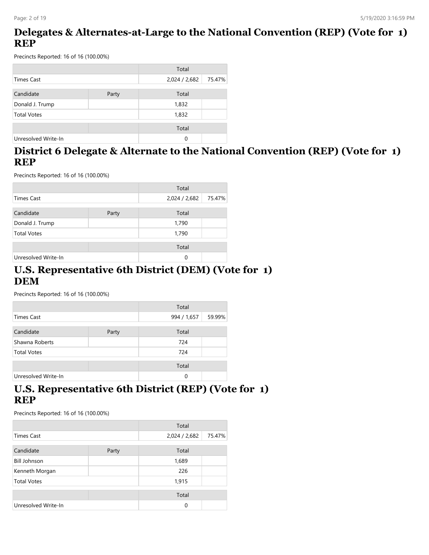## **Delegates & Alternates-at-Large to the National Convention (REP) (Vote for 1) REP**

Precincts Reported: 16 of 16 (100.00%)

|                     |       | Total         |        |
|---------------------|-------|---------------|--------|
| <b>Times Cast</b>   |       | 2,024 / 2,682 | 75.47% |
| Candidate           | Party | Total         |        |
| Donald J. Trump     |       | 1,832         |        |
| <b>Total Votes</b>  |       | 1,832         |        |
|                     |       | Total         |        |
| Unresolved Write-In |       | 0             |        |

### **District 6 Delegate & Alternate to the National Convention (REP) (Vote for 1) REP**

Precincts Reported: 16 of 16 (100.00%)

|                     |       | Total         |        |
|---------------------|-------|---------------|--------|
| <b>Times Cast</b>   |       | 2,024 / 2,682 | 75.47% |
| Candidate           | Party | Total         |        |
| Donald J. Trump     |       | 1,790         |        |
| <b>Total Votes</b>  |       | 1,790         |        |
|                     |       | Total         |        |
| Unresolved Write-In |       | 0             |        |

#### **U.S. Representative 6th District (DEM) (Vote for 1) DEM**

Precincts Reported: 16 of 16 (100.00%)

|                     |       | Total       |        |
|---------------------|-------|-------------|--------|
| <b>Times Cast</b>   |       | 994 / 1,657 | 59.99% |
| Candidate           | Party | Total       |        |
| Shawna Roberts      |       | 724         |        |
| <b>Total Votes</b>  |       | 724         |        |
|                     |       | Total       |        |
| Unresolved Write-In |       | 0           |        |

### **U.S. Representative 6th District (REP) (Vote for 1) REP**

|                     |       | Total         |        |
|---------------------|-------|---------------|--------|
| <b>Times Cast</b>   |       | 2,024 / 2,682 | 75.47% |
| Candidate           | Party | Total         |        |
| <b>Bill Johnson</b> |       | 1,689         |        |
| Kenneth Morgan      |       | 226           |        |
| <b>Total Votes</b>  |       | 1,915         |        |
|                     |       | Total         |        |
| Unresolved Write-In |       | 0             |        |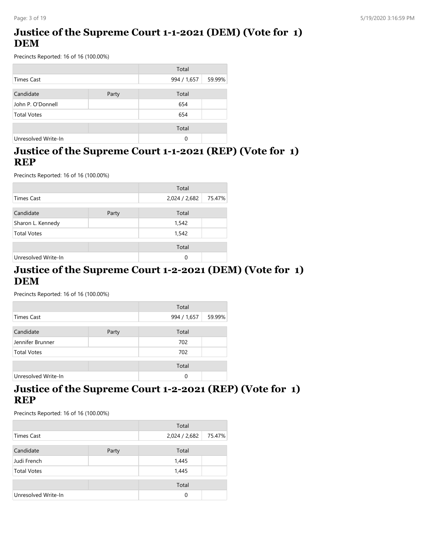## **Justice of the Supreme Court 1-1-2021 (DEM) (Vote for 1) DEM**

Precincts Reported: 16 of 16 (100.00%)

|                     |       | Total       |        |
|---------------------|-------|-------------|--------|
| <b>Times Cast</b>   |       | 994 / 1,657 | 59.99% |
| Candidate           | Party | Total       |        |
| John P. O'Donnell   |       | 654         |        |
| <b>Total Votes</b>  |       | 654         |        |
|                     |       | Total       |        |
| Unresolved Write-In |       | 0           |        |

### **Justice of the Supreme Court 1-1-2021 (REP) (Vote for 1) REP**

Precincts Reported: 16 of 16 (100.00%)

|                     |       | Total         |        |
|---------------------|-------|---------------|--------|
| <b>Times Cast</b>   |       | 2,024 / 2,682 | 75.47% |
| Candidate           | Party | Total         |        |
| Sharon L. Kennedy   |       | 1,542         |        |
| <b>Total Votes</b>  |       | 1,542         |        |
|                     |       | Total         |        |
| Unresolved Write-In |       | 0             |        |

#### **Justice of the Supreme Court 1-2-2021 (DEM) (Vote for 1) DEM**

Precincts Reported: 16 of 16 (100.00%)

|                     |       | Total       |        |
|---------------------|-------|-------------|--------|
| Times Cast          |       | 994 / 1,657 | 59.99% |
| Candidate           | Party | Total       |        |
| Jennifer Brunner    |       | 702         |        |
| <b>Total Votes</b>  |       | 702         |        |
|                     |       | Total       |        |
| Unresolved Write-In |       | 0           |        |

### **Justice of the Supreme Court 1-2-2021 (REP) (Vote for 1) REP**

|                     |       | Total         |        |
|---------------------|-------|---------------|--------|
| Times Cast          |       | 2,024 / 2,682 | 75.47% |
| Candidate           | Party | Total         |        |
| Judi French         |       | 1,445         |        |
| <b>Total Votes</b>  |       | 1,445         |        |
|                     |       | Total         |        |
| Unresolved Write-In |       | $\Omega$      |        |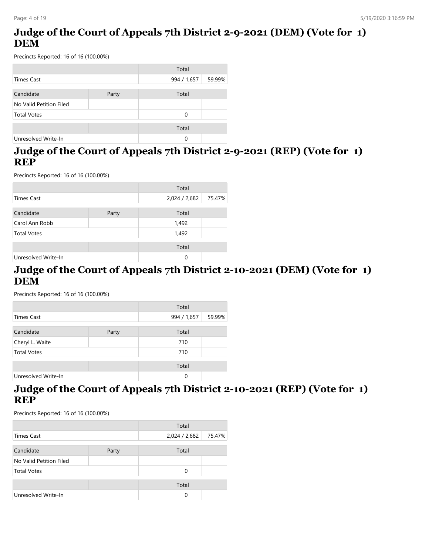## **Judge of the Court of Appeals 7th District 2-9-2021 (DEM) (Vote for 1) DEM**

Precincts Reported: 16 of 16 (100.00%)

|                         |       | Total       |        |
|-------------------------|-------|-------------|--------|
| <b>Times Cast</b>       |       | 994 / 1,657 | 59.99% |
|                         |       |             |        |
| Candidate               | Party | Total       |        |
| No Valid Petition Filed |       |             |        |
| <b>Total Votes</b>      |       | 0           |        |
|                         |       |             |        |
|                         |       | Total       |        |
| Unresolved Write-In     |       | 0           |        |

## **Judge of the Court of Appeals 7th District 2-9-2021 (REP) (Vote for 1) REP**

Precincts Reported: 16 of 16 (100.00%)

|                     |       | Total         |        |
|---------------------|-------|---------------|--------|
| <b>Times Cast</b>   |       | 2,024 / 2,682 | 75.47% |
| Candidate           | Party | Total         |        |
| Carol Ann Robb      |       | 1,492         |        |
| <b>Total Votes</b>  |       | 1,492         |        |
|                     |       | Total         |        |
| Unresolved Write-In |       | 0             |        |

#### **Judge of the Court of Appeals 7th District 2-10-2021 (DEM) (Vote for 1) DEM**

Precincts Reported: 16 of 16 (100.00%)

|                     |       | Total       |        |
|---------------------|-------|-------------|--------|
| Times Cast          |       | 994 / 1,657 | 59.99% |
| Candidate           | Party | Total       |        |
| Cheryl L. Waite     |       | 710         |        |
| <b>Total Votes</b>  |       | 710         |        |
|                     |       | Total       |        |
| Unresolved Write-In |       | 0           |        |

### **Judge of the Court of Appeals 7th District 2-10-2021 (REP) (Vote for 1) REP**

|                         |       | Total         |        |
|-------------------------|-------|---------------|--------|
| Times Cast              |       | 2,024 / 2,682 | 75.47% |
| Candidate               | Party | Total         |        |
| No Valid Petition Filed |       |               |        |
| <b>Total Votes</b>      |       | 0             |        |
|                         |       | Total         |        |
| Unresolved Write-In     |       | 0             |        |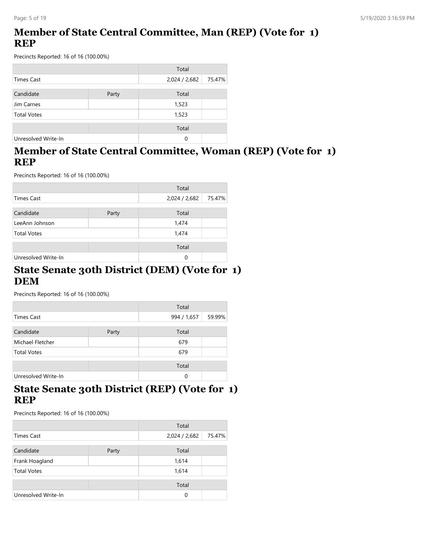## **Member of State Central Committee, Man (REP) (Vote for 1) REP**

Precincts Reported: 16 of 16 (100.00%)

|                     |       | Total         |        |
|---------------------|-------|---------------|--------|
| <b>Times Cast</b>   |       | 2,024 / 2,682 | 75.47% |
| Candidate           | Party | Total         |        |
| Jim Carnes          |       | 1,523         |        |
| <b>Total Votes</b>  |       | 1,523         |        |
|                     |       | Total         |        |
| Unresolved Write-In |       | 0             |        |

### **Member of State Central Committee, Woman (REP) (Vote for 1) REP**

Precincts Reported: 16 of 16 (100.00%)

|                     |       | Total         |        |
|---------------------|-------|---------------|--------|
| <b>Times Cast</b>   |       | 2,024 / 2,682 | 75.47% |
| Candidate           | Party | Total         |        |
| LeeAnn Johnson      |       | 1,474         |        |
| <b>Total Votes</b>  |       | 1,474         |        |
|                     |       | Total         |        |
| Unresolved Write-In |       | 0             |        |

#### **State Senate 30th District (DEM) (Vote for 1) DEM**

Precincts Reported: 16 of 16 (100.00%)

|                     |       | Total       |        |
|---------------------|-------|-------------|--------|
| Times Cast          |       | 994 / 1,657 | 59.99% |
| Candidate           | Party | Total       |        |
| Michael Fletcher    |       | 679         |        |
| <b>Total Votes</b>  |       | 679         |        |
|                     |       | Total       |        |
| Unresolved Write-In |       | 0           |        |

### **State Senate 30th District (REP) (Vote for 1) REP**

|                     |       | Total         |        |
|---------------------|-------|---------------|--------|
| <b>Times Cast</b>   |       | 2,024 / 2,682 | 75.47% |
| Candidate           | Party | Total         |        |
| Frank Hoagland      |       | 1,614         |        |
| <b>Total Votes</b>  |       | 1,614         |        |
|                     |       | Total         |        |
| Unresolved Write-In |       | 0             |        |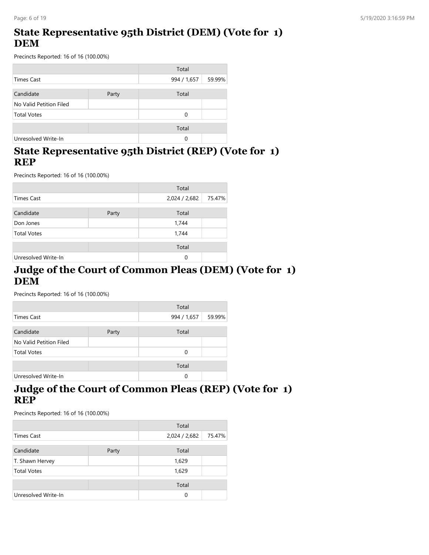## **State Representative 95th District (DEM) (Vote for 1) DEM**

Precincts Reported: 16 of 16 (100.00%)

|                         |       | Total       |        |
|-------------------------|-------|-------------|--------|
| <b>Times Cast</b>       |       | 994 / 1,657 | 59.99% |
| Candidate               | Party | Total       |        |
| No Valid Petition Filed |       |             |        |
| <b>Total Votes</b>      |       | 0           |        |
|                         |       | Total       |        |
| Unresolved Write-In     |       | 0           |        |

## **State Representative 95th District (REP) (Vote for 1) REP**

Precincts Reported: 16 of 16 (100.00%)

|                     |       | Total         |        |
|---------------------|-------|---------------|--------|
| <b>Times Cast</b>   |       | 2,024 / 2,682 | 75.47% |
| Candidate           | Party | Total         |        |
| Don Jones           |       | 1,744         |        |
| <b>Total Votes</b>  |       | 1,744         |        |
|                     |       | Total         |        |
| Unresolved Write-In |       | $\Omega$      |        |

#### **Judge of the Court of Common Pleas (DEM) (Vote for 1) DEM**

Precincts Reported: 16 of 16 (100.00%)

|                         |       | Total       |        |
|-------------------------|-------|-------------|--------|
| Times Cast              |       | 994 / 1,657 | 59.99% |
| Candidate               | Party | Total       |        |
| No Valid Petition Filed |       |             |        |
| <b>Total Votes</b>      |       | $\Omega$    |        |
|                         |       | Total       |        |
| Unresolved Write-In     |       | 0           |        |

### **Judge of the Court of Common Pleas (REP) (Vote for 1) REP**

|                     |       | Total         |        |
|---------------------|-------|---------------|--------|
| Times Cast          |       | 2,024 / 2,682 | 75.47% |
| Candidate           | Party | Total         |        |
| T. Shawn Hervey     |       | 1,629         |        |
| <b>Total Votes</b>  |       | 1,629         |        |
|                     |       | Total         |        |
| Unresolved Write-In |       | 0             |        |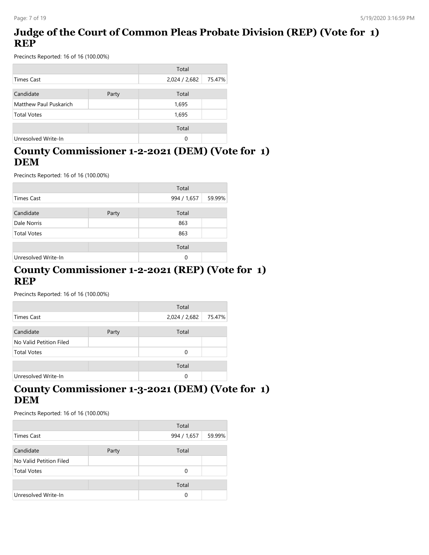## **Judge of the Court of Common Pleas Probate Division (REP) (Vote for 1) REP**

Precincts Reported: 16 of 16 (100.00%)

|                        |       | Total         |        |
|------------------------|-------|---------------|--------|
| Times Cast             |       | 2,024 / 2,682 | 75.47% |
| Candidate              | Party | Total         |        |
| Matthew Paul Puskarich |       | 1,695         |        |
| <b>Total Votes</b>     |       | 1,695         |        |
|                        |       | Total         |        |
| Unresolved Write-In    |       | 0             |        |

## **County Commissioner 1-2-2021 (DEM) (Vote for 1) DEM**

Precincts Reported: 16 of 16 (100.00%)

|                     |       | Total       |        |
|---------------------|-------|-------------|--------|
| <b>Times Cast</b>   |       | 994 / 1,657 | 59.99% |
| Candidate           | Party | Total       |        |
| Dale Norris         |       | 863         |        |
| <b>Total Votes</b>  |       | 863         |        |
|                     |       | Total       |        |
| Unresolved Write-In |       | 0           |        |

#### **County Commissioner 1-2-2021 (REP) (Vote for 1) REP**

Precincts Reported: 16 of 16 (100.00%)

|                         |       | Total         |        |
|-------------------------|-------|---------------|--------|
| Times Cast              |       | 2,024 / 2,682 | 75.47% |
| Candidate               | Party | Total         |        |
| No Valid Petition Filed |       |               |        |
| <b>Total Votes</b>      |       | 0             |        |
|                         |       | Total         |        |
| Unresolved Write-In     |       | 0             |        |

### **County Commissioner 1-3-2021 (DEM) (Vote for 1) DEM**

|                         |       | Total       |        |
|-------------------------|-------|-------------|--------|
| Times Cast              |       | 994 / 1,657 | 59.99% |
| Candidate               | Party | Total       |        |
| No Valid Petition Filed |       |             |        |
| <b>Total Votes</b>      |       | 0           |        |
|                         |       | Total       |        |
| Unresolved Write-In     |       | 0           |        |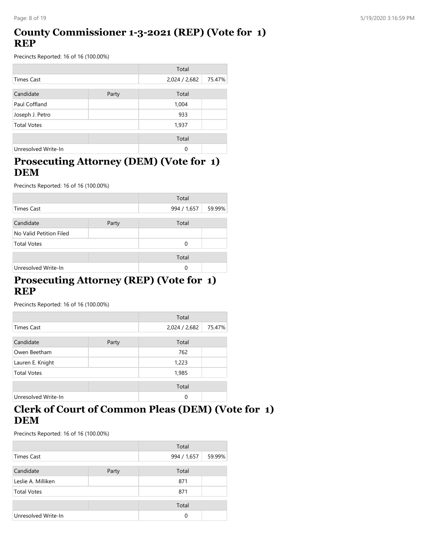## **County Commissioner 1-3-2021 (REP) (Vote for 1) REP**

Precincts Reported: 16 of 16 (100.00%)

|                     |       | Total         |        |
|---------------------|-------|---------------|--------|
| <b>Times Cast</b>   |       | 2,024 / 2,682 | 75.47% |
| Candidate           | Party | Total         |        |
| Paul Coffland       |       | 1,004         |        |
| Joseph J. Petro     |       | 933           |        |
| <b>Total Votes</b>  |       | 1,937         |        |
|                     |       | Total         |        |
| Unresolved Write-In |       | $\Omega$      |        |

## **Prosecuting Attorney (DEM) (Vote for 1) DEM**

Precincts Reported: 16 of 16 (100.00%)

|                         |       | Total       |        |
|-------------------------|-------|-------------|--------|
| Times Cast              |       | 994 / 1,657 | 59.99% |
| Candidate               |       | Total       |        |
|                         | Party |             |        |
| No Valid Petition Filed |       |             |        |
| <b>Total Votes</b>      |       | $\Omega$    |        |
|                         |       | Total       |        |
| Unresolved Write-In     |       | 0           |        |

### **Prosecuting Attorney (REP) (Vote for 1) REP**

Precincts Reported: 16 of 16 (100.00%)

|                     |       | Total         |        |
|---------------------|-------|---------------|--------|
| Times Cast          |       | 2,024 / 2,682 | 75.47% |
| Candidate           | Party | Total         |        |
| Owen Beetham        |       | 762           |        |
| Lauren E. Knight    |       | 1,223         |        |
| <b>Total Votes</b>  |       | 1,985         |        |
|                     |       | Total         |        |
| Unresolved Write-In |       | 0             |        |

## **Clerk of Court of Common Pleas (DEM) (Vote for 1) DEM**

|                     |       | Total       |        |
|---------------------|-------|-------------|--------|
| Times Cast          |       | 994 / 1,657 | 59.99% |
| Candidate           | Party | Total       |        |
| Leslie A. Milliken  |       | 871         |        |
| <b>Total Votes</b>  |       | 871         |        |
|                     |       | Total       |        |
| Unresolved Write-In |       | 0           |        |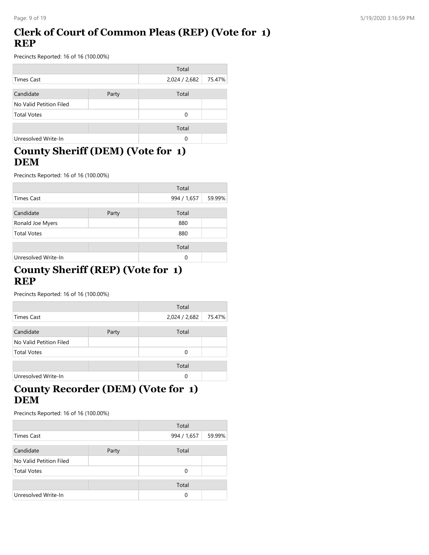## **Clerk of Court of Common Pleas (REP) (Vote for 1) REP**

Precincts Reported: 16 of 16 (100.00%)

|                         |       | Total         |        |
|-------------------------|-------|---------------|--------|
| Times Cast              |       | 2,024 / 2,682 | 75.47% |
| Candidate               | Party | Total         |        |
| No Valid Petition Filed |       |               |        |
| <b>Total Votes</b>      |       | $\Omega$      |        |
|                         |       | Total         |        |
| Unresolved Write-In     |       | 0             |        |

### **County Sheriff (DEM) (Vote for 1) DEM**

Precincts Reported: 16 of 16 (100.00%)

|                     |       | Total       |        |
|---------------------|-------|-------------|--------|
| <b>Times Cast</b>   |       | 994 / 1,657 | 59.99% |
| Candidate           | Party | Total       |        |
| Ronald Joe Myers    |       | 880         |        |
| <b>Total Votes</b>  |       | 880         |        |
|                     |       | Total       |        |
| Unresolved Write-In |       | 0           |        |

### **County Sheriff (REP) (Vote for 1) REP**

Precincts Reported: 16 of 16 (100.00%)

|                         |       | Total         |        |
|-------------------------|-------|---------------|--------|
| Times Cast              |       | 2,024 / 2,682 | 75.47% |
| Candidate               | Party | Total         |        |
| No Valid Petition Filed |       |               |        |
| <b>Total Votes</b>      |       | 0             |        |
|                         |       | Total         |        |
| Unresolved Write-In     |       | 0             |        |

## **County Recorder (DEM) (Vote for 1) DEM**

|                         |       | Total       |        |
|-------------------------|-------|-------------|--------|
| <b>Times Cast</b>       |       | 994 / 1,657 | 59.99% |
|                         |       |             |        |
| Candidate               | Party | Total       |        |
| No Valid Petition Filed |       |             |        |
| <b>Total Votes</b>      |       | 0           |        |
|                         |       | Total       |        |
| Unresolved Write-In     |       | 0           |        |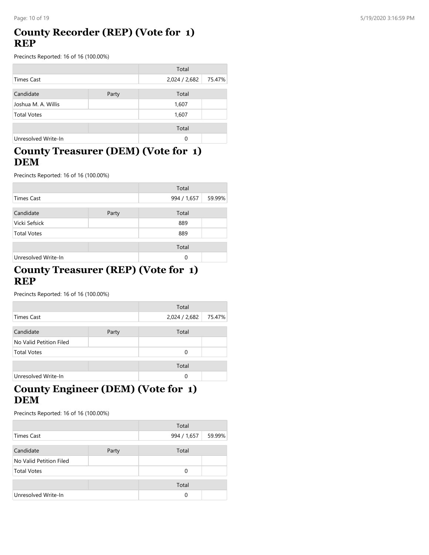## **County Recorder (REP) (Vote for 1) REP**

Precincts Reported: 16 of 16 (100.00%)

|                     |       | Total         |        |
|---------------------|-------|---------------|--------|
| Times Cast          |       | 2,024 / 2,682 | 75.47% |
| Candidate           | Party | Total         |        |
| Joshua M. A. Willis |       | 1,607         |        |
| <b>Total Votes</b>  |       | 1,607         |        |
|                     |       | Total         |        |
| Unresolved Write-In |       | $\Omega$      |        |

### **County Treasurer (DEM) (Vote for 1) DEM**

Precincts Reported: 16 of 16 (100.00%)

|                     |       | Total       |        |
|---------------------|-------|-------------|--------|
| Times Cast          |       | 994 / 1,657 | 59.99% |
| Candidate           | Party | Total       |        |
| Vicki Sefsick       |       | 889         |        |
| <b>Total Votes</b>  |       | 889         |        |
|                     |       | Total       |        |
| Unresolved Write-In |       | 0           |        |

#### **County Treasurer (REP) (Vote for 1) REP**

Precincts Reported: 16 of 16 (100.00%)

|                         |       | Total         |        |
|-------------------------|-------|---------------|--------|
| Times Cast              |       | 2,024 / 2,682 | 75.47% |
| Candidate               | Party | Total         |        |
| No Valid Petition Filed |       |               |        |
| <b>Total Votes</b>      |       | 0             |        |
|                         |       | Total         |        |
| Unresolved Write-In     |       | 0             |        |

## **County Engineer (DEM) (Vote for 1) DEM**

|                         |       | Total       |        |
|-------------------------|-------|-------------|--------|
| <b>Times Cast</b>       |       | 994 / 1,657 | 59.99% |
|                         |       |             |        |
| Candidate               | Party | Total       |        |
| No Valid Petition Filed |       |             |        |
| <b>Total Votes</b>      |       | 0           |        |
|                         |       | Total       |        |
| Unresolved Write-In     |       | 0           |        |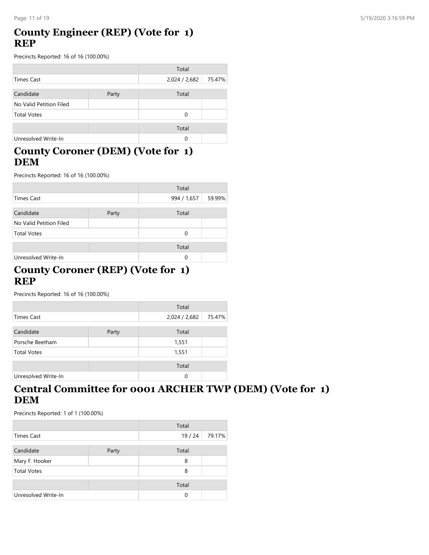## **County Engineer (REP) (Vote for 1) REP**

Precincts Reported: 16 of 16 (100.00%)

|                         |       | Total         |        |
|-------------------------|-------|---------------|--------|
| Times Cast              |       | 2,024 / 2,682 | 75.47% |
| Candidate               | Party | Total         |        |
| No Valid Petition Filed |       |               |        |
| <b>Total Votes</b>      |       | 0             |        |
|                         |       | Total         |        |
| Unresolved Write-In     |       | 0             |        |

### **County Coroner (DEM) (Vote for 1) DEM**

Precincts Reported: 16 of 16 (100.00%)

|                         |       | Total       |        |
|-------------------------|-------|-------------|--------|
| Times Cast              |       | 994 / 1,657 | 59.99% |
|                         |       |             |        |
| Candidate               | Party | Total       |        |
| No Valid Petition Filed |       |             |        |
| <b>Total Votes</b>      |       | 0           |        |
|                         |       |             |        |
|                         |       | Total       |        |
| Unresolved Write-In     |       | $\Omega$    |        |

#### **County Coroner (REP) (Vote for 1) REP**

Precincts Reported: 16 of 16 (100.00%)

|                     |       | Total         |        |
|---------------------|-------|---------------|--------|
| <b>Times Cast</b>   |       | 2,024 / 2,682 | 75.47% |
| Candidate           | Party | Total         |        |
| Porsche Beetham     |       | 1,551         |        |
| <b>Total Votes</b>  |       | 1,551         |        |
|                     |       | Total         |        |
| Unresolved Write-In |       | 0             |        |

### **Central Committee for 0001 ARCHER TWP (DEM) (Vote for 1) DEM**

|                     |       | Total |        |
|---------------------|-------|-------|--------|
| <b>Times Cast</b>   |       | 19/24 | 79.17% |
| Candidate           | Party | Total |        |
| Mary F. Hooker      |       | 8     |        |
| <b>Total Votes</b>  |       | 8     |        |
|                     |       | Total |        |
| Unresolved Write-In |       | 0     |        |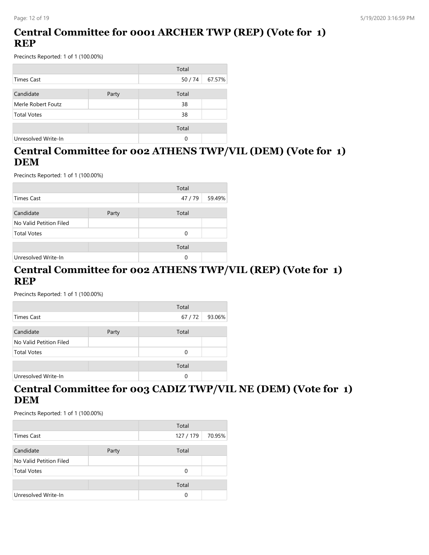## **Central Committee for 0001 ARCHER TWP (REP) (Vote for 1) REP**

Precincts Reported: 1 of 1 (100.00%)

|                     |       | Total |        |
|---------------------|-------|-------|--------|
| Times Cast          |       | 50/74 | 67.57% |
| Candidate           | Party | Total |        |
| Merle Robert Foutz  |       | 38    |        |
| <b>Total Votes</b>  |       | 38    |        |
|                     |       | Total |        |
| Unresolved Write-In |       | 0     |        |

## **Central Committee for 002 ATHENS TWP/VIL (DEM) (Vote for 1) DEM**

Precincts Reported: 1 of 1 (100.00%)

|                         |       | Total    |        |
|-------------------------|-------|----------|--------|
| <b>Times Cast</b>       |       | 47/79    | 59.49% |
| Candidate               | Party | Total    |        |
| No Valid Petition Filed |       |          |        |
| <b>Total Votes</b>      |       | $\Omega$ |        |
|                         |       | Total    |        |
| Unresolved Write-In     |       | 0        |        |

#### **Central Committee for 002 ATHENS TWP/VIL (REP) (Vote for 1) REP**

Precincts Reported: 1 of 1 (100.00%)

|                         |       | Total |        |
|-------------------------|-------|-------|--------|
| Times Cast              |       | 67/72 | 93.06% |
|                         |       |       |        |
| Candidate               | Party | Total |        |
| No Valid Petition Filed |       |       |        |
| <b>Total Votes</b>      |       | 0     |        |
|                         |       |       |        |
|                         |       | Total |        |
| Unresolved Write-In     |       | 0     |        |

### **Central Committee for 003 CADIZ TWP/VIL NE (DEM) (Vote for 1) DEM**

|                         |       | Total     |        |
|-------------------------|-------|-----------|--------|
| Times Cast              |       | 127 / 179 | 70.95% |
| Candidate               | Party | Total     |        |
| No Valid Petition Filed |       |           |        |
| <b>Total Votes</b>      |       | 0         |        |
|                         |       | Total     |        |
| Unresolved Write-In     |       | 0         |        |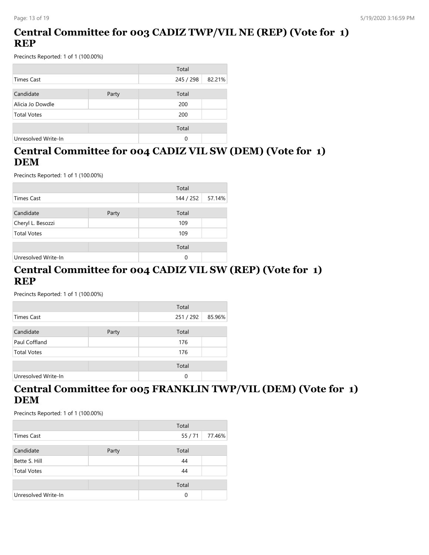## **Central Committee for 003 CADIZ TWP/VIL NE (REP) (Vote for 1) REP**

Precincts Reported: 1 of 1 (100.00%)

|                     |       | Total     |        |
|---------------------|-------|-----------|--------|
| Times Cast          |       | 245 / 298 | 82.21% |
|                     |       |           |        |
| Candidate           | Party | Total     |        |
| Alicia Jo Dowdle    |       | 200       |        |
| <b>Total Votes</b>  |       | 200       |        |
|                     |       |           |        |
|                     |       | Total     |        |
| Unresolved Write-In |       | 0         |        |

## **Central Committee for 004 CADIZ VIL SW (DEM) (Vote for 1) DEM**

Precincts Reported: 1 of 1 (100.00%)

|                     |       | Total     |        |
|---------------------|-------|-----------|--------|
| Times Cast          |       | 144 / 252 | 57.14% |
| Candidate           | Party | Total     |        |
| Cheryl L. Besozzi   |       | 109       |        |
| <b>Total Votes</b>  |       | 109       |        |
|                     |       | Total     |        |
| Unresolved Write-In |       | $\Omega$  |        |

#### **Central Committee for 004 CADIZ VIL SW (REP) (Vote for 1) REP**

Precincts Reported: 1 of 1 (100.00%)

|                     |       | Total   |        |
|---------------------|-------|---------|--------|
| Times Cast          |       | 251/292 | 85.96% |
| Candidate           | Party | Total   |        |
| Paul Coffland       |       | 176     |        |
| <b>Total Votes</b>  |       | 176     |        |
|                     |       | Total   |        |
| Unresolved Write-In |       | 0       |        |

### **Central Committee for 005 FRANKLIN TWP/VIL (DEM) (Vote for 1) DEM**

|                     |       | Total |        |
|---------------------|-------|-------|--------|
| <b>Times Cast</b>   |       | 55/71 | 77.46% |
| Candidate           | Party | Total |        |
| Bette S. Hill       |       | 44    |        |
| <b>Total Votes</b>  |       | 44    |        |
|                     |       | Total |        |
| Unresolved Write-In |       | 0     |        |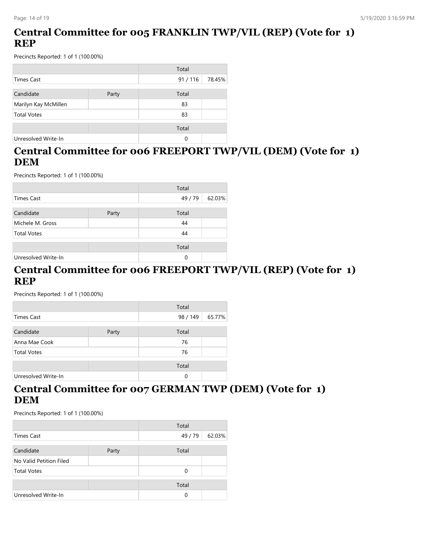## **Central Committee for 005 FRANKLIN TWP/VIL (REP) (Vote for 1) REP**

Precincts Reported: 1 of 1 (100.00%)

|                      |       | Total  |        |
|----------------------|-------|--------|--------|
| Times Cast           |       | 91/116 | 78.45% |
| Candidate            | Party | Total  |        |
| Marilyn Kay McMillen |       | 83     |        |
| <b>Total Votes</b>   |       | 83     |        |
|                      |       | Total  |        |
| Unresolved Write-In  |       | 0      |        |

## **Central Committee for 006 FREEPORT TWP/VIL (DEM) (Vote for 1) DEM**

Precincts Reported: 1 of 1 (100.00%)

|                     |       | Total   |        |
|---------------------|-------|---------|--------|
| <b>Times Cast</b>   |       | 49 / 79 | 62.03% |
|                     |       |         |        |
| Candidate           | Party | Total   |        |
| Michele M. Gross    |       | 44      |        |
| <b>Total Votes</b>  |       | 44      |        |
|                     |       | Total   |        |
|                     |       |         |        |
| Unresolved Write-In |       | 0       |        |

#### **Central Committee for 006 FREEPORT TWP/VIL (REP) (Vote for 1) REP**

Precincts Reported: 1 of 1 (100.00%)

|                     |       | Total    |        |
|---------------------|-------|----------|--------|
| Times Cast          |       | 98 / 149 | 65.77% |
|                     |       |          |        |
| Candidate           | Party | Total    |        |
| Anna Mae Cook       |       | 76       |        |
| <b>Total Votes</b>  |       | 76       |        |
|                     |       | Total    |        |
|                     |       |          |        |
| Unresolved Write-In |       | 0        |        |

### **Central Committee for 007 GERMAN TWP (DEM) (Vote for 1) DEM**

|                         |       | Total   |        |
|-------------------------|-------|---------|--------|
| Times Cast              |       | 49 / 79 | 62.03% |
| Candidate               | Party | Total   |        |
| No Valid Petition Filed |       |         |        |
| <b>Total Votes</b>      |       | 0       |        |
|                         |       | Total   |        |
| Unresolved Write-In     |       | 0       |        |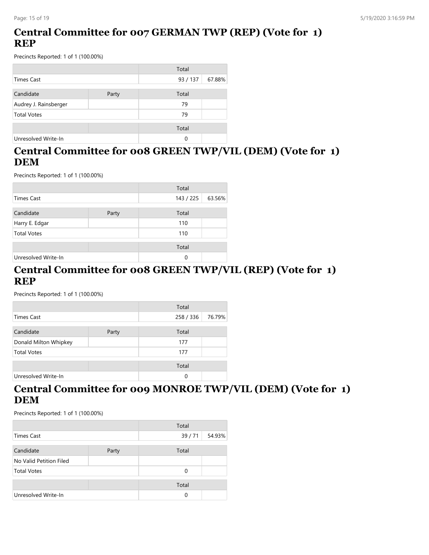## **Central Committee for 007 GERMAN TWP (REP) (Vote for 1) REP**

Precincts Reported: 1 of 1 (100.00%)

|                       |       | Total    |        |
|-----------------------|-------|----------|--------|
| <b>Times Cast</b>     |       | 93 / 137 | 67.88% |
| Candidate             | Party | Total    |        |
| Audrey J. Rainsberger |       | 79       |        |
| <b>Total Votes</b>    |       | 79       |        |
|                       |       | Total    |        |
| Unresolved Write-In   |       | 0        |        |

## **Central Committee for 008 GREEN TWP/VIL (DEM) (Vote for 1) DEM**

Precincts Reported: 1 of 1 (100.00%)

|                     | Total |           |        |
|---------------------|-------|-----------|--------|
| <b>Times Cast</b>   |       | 143 / 225 | 63.56% |
| Candidate           | Party | Total     |        |
| Harry E. Edgar      |       | 110       |        |
| <b>Total Votes</b>  |       | 110       |        |
|                     |       | Total     |        |
| Unresolved Write-In |       | 0         |        |

#### **Central Committee for 008 GREEN TWP/VIL (REP) (Vote for 1) REP**

Precincts Reported: 1 of 1 (100.00%)

|                       |       | Total     |        |
|-----------------------|-------|-----------|--------|
| Times Cast            |       | 258 / 336 | 76.79% |
| Candidate             | Party | Total     |        |
| Donald Milton Whipkey |       | 177       |        |
| <b>Total Votes</b>    |       | 177       |        |
|                       |       | Total     |        |
| Unresolved Write-In   |       | 0         |        |

### **Central Committee for 009 MONROE TWP/VIL (DEM) (Vote for 1) DEM**

|                         |       | Total |        |
|-------------------------|-------|-------|--------|
| <b>Times Cast</b>       |       | 39/71 | 54.93% |
| Candidate               | Party | Total |        |
| No Valid Petition Filed |       |       |        |
| <b>Total Votes</b>      |       | 0     |        |
|                         |       | Total |        |
| Unresolved Write-In     |       | 0     |        |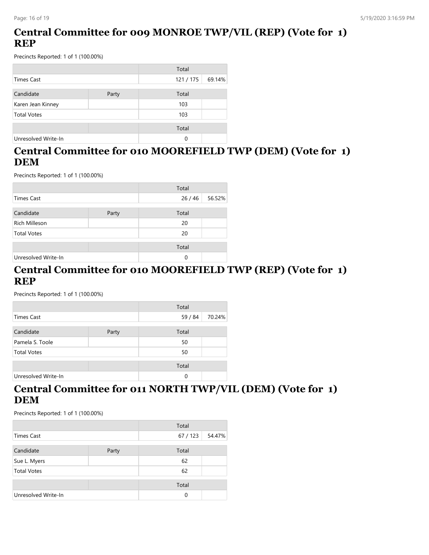## **Central Committee for 009 MONROE TWP/VIL (REP) (Vote for 1) REP**

Precincts Reported: 1 of 1 (100.00%)

|                     |       | Total   |        |
|---------------------|-------|---------|--------|
| Times Cast          |       | 121/175 | 69.14% |
| Candidate           | Party | Total   |        |
| Karen Jean Kinney   |       | 103     |        |
| <b>Total Votes</b>  |       | 103     |        |
|                     |       | Total   |        |
| Unresolved Write-In |       | 0       |        |

## **Central Committee for 010 MOOREFIELD TWP (DEM) (Vote for 1) DEM**

Precincts Reported: 1 of 1 (100.00%)

|                      |       | Total |        |
|----------------------|-------|-------|--------|
| <b>Times Cast</b>    |       | 26/46 | 56.52% |
| Candidate            | Party | Total |        |
|                      |       |       |        |
| <b>Rich Milleson</b> |       | 20    |        |
| <b>Total Votes</b>   |       | 20    |        |
|                      |       | Total |        |
| Unresolved Write-In  |       | 0     |        |

#### **Central Committee for 010 MOOREFIELD TWP (REP) (Vote for 1) REP**

Precincts Reported: 1 of 1 (100.00%)

|                     |       | Total   |        |
|---------------------|-------|---------|--------|
| Times Cast          |       | 59 / 84 | 70.24% |
| Candidate           | Party | Total   |        |
| Pamela S. Toole     |       | 50      |        |
| <b>Total Votes</b>  |       | 50      |        |
|                     |       | Total   |        |
| Unresolved Write-In |       | 0       |        |

### **Central Committee for 011 NORTH TWP/VIL (DEM) (Vote for 1) DEM**

|                     |       | Total    |        |
|---------------------|-------|----------|--------|
| Times Cast          |       | 67 / 123 | 54.47% |
| Candidate           | Party | Total    |        |
| Sue L. Myers        |       | 62       |        |
| <b>Total Votes</b>  |       | 62       |        |
|                     |       | Total    |        |
| Unresolved Write-In |       | $\Omega$ |        |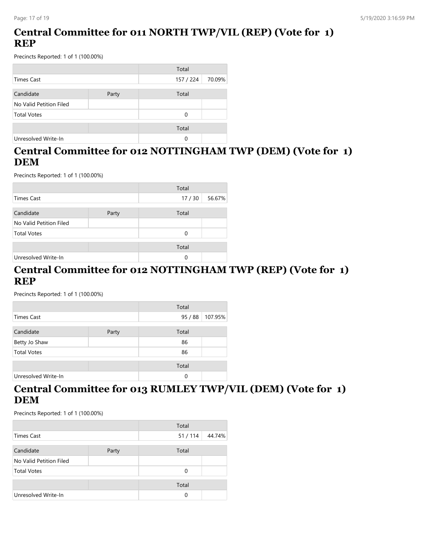## **Central Committee for 011 NORTH TWP/VIL (REP) (Vote for 1) REP**

Precincts Reported: 1 of 1 (100.00%)

|                         |       | Total     |        |
|-------------------------|-------|-----------|--------|
| <b>Times Cast</b>       |       | 157 / 224 | 70.09% |
|                         |       |           |        |
| Candidate               | Party | Total     |        |
| No Valid Petition Filed |       |           |        |
| <b>Total Votes</b>      |       | 0         |        |
|                         |       | Total     |        |
| Unresolved Write-In     |       | 0         |        |

## **Central Committee for 012 NOTTINGHAM TWP (DEM) (Vote for 1) DEM**

Precincts Reported: 1 of 1 (100.00%)

|                         |       | Total |        |
|-------------------------|-------|-------|--------|
| Times Cast              |       | 17/30 | 56.67% |
|                         |       |       |        |
| Candidate               | Party | Total |        |
| No Valid Petition Filed |       |       |        |
| <b>Total Votes</b>      |       | 0     |        |
|                         |       | Total |        |
|                         |       |       |        |
| Unresolved Write-In     |       | 0     |        |

#### **Central Committee for 012 NOTTINGHAM TWP (REP) (Vote for 1) REP**

Precincts Reported: 1 of 1 (100.00%)

|                     |       | Total |         |
|---------------------|-------|-------|---------|
| Times Cast          |       | 95/88 | 107.95% |
| Candidate           | Party | Total |         |
| Betty Jo Shaw       |       | 86    |         |
| <b>Total Votes</b>  |       | 86    |         |
|                     |       | Total |         |
| Unresolved Write-In |       | 0     |         |

### **Central Committee for 013 RUMLEY TWP/VIL (DEM) (Vote for 1) DEM**

|                         |       | Total  |        |
|-------------------------|-------|--------|--------|
| Times Cast              |       | 51/114 | 44.74% |
| Candidate               | Party | Total  |        |
| No Valid Petition Filed |       |        |        |
| <b>Total Votes</b>      |       | 0      |        |
|                         |       | Total  |        |
| Unresolved Write-In     |       | 0      |        |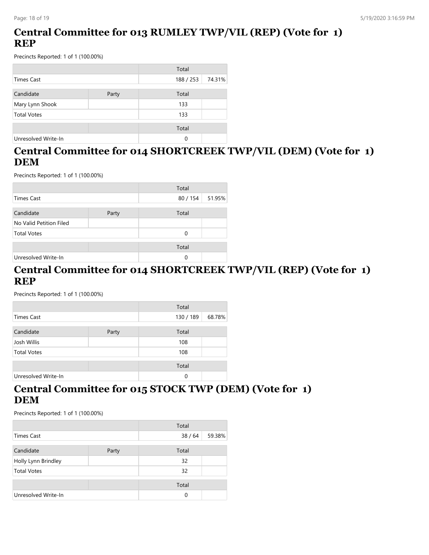## **Central Committee for 013 RUMLEY TWP/VIL (REP) (Vote for 1) REP**

Precincts Reported: 1 of 1 (100.00%)

|                     |       | Total     |        |
|---------------------|-------|-----------|--------|
| Times Cast          |       | 188 / 253 | 74.31% |
| Candidate           | Party | Total     |        |
| Mary Lynn Shook     |       | 133       |        |
| <b>Total Votes</b>  |       | 133       |        |
|                     |       | Total     |        |
| Unresolved Write-In |       | 0         |        |

## **Central Committee for 014 SHORTCREEK TWP/VIL (DEM) (Vote for 1) DEM**

Precincts Reported: 1 of 1 (100.00%)

|                         |       | Total    |        |
|-------------------------|-------|----------|--------|
| <b>Times Cast</b>       |       | 80 / 154 | 51.95% |
| Candidate               | Party | Total    |        |
| No Valid Petition Filed |       |          |        |
| <b>Total Votes</b>      |       | 0        |        |
|                         |       | Total    |        |
| Unresolved Write-In     |       | 0        |        |

#### **Central Committee for 014 SHORTCREEK TWP/VIL (REP) (Vote for 1) REP**

Precincts Reported: 1 of 1 (100.00%)

|                     |       | Total     |        |
|---------------------|-------|-----------|--------|
| Times Cast          |       | 130 / 189 | 68.78% |
| Candidate           | Party | Total     |        |
| Josh Willis         |       | 108       |        |
| <b>Total Votes</b>  |       | 108       |        |
|                     |       | Total     |        |
| Unresolved Write-In |       | 0         |        |

### **Central Committee for 015 STOCK TWP (DEM) (Vote for 1) DEM**

|                     |       | Total |        |
|---------------------|-------|-------|--------|
| Times Cast          |       | 38/64 | 59.38% |
| Candidate           | Party | Total |        |
| Holly Lynn Brindley |       | 32    |        |
| <b>Total Votes</b>  |       | 32    |        |
|                     |       | Total |        |
| Unresolved Write-In |       | 0     |        |